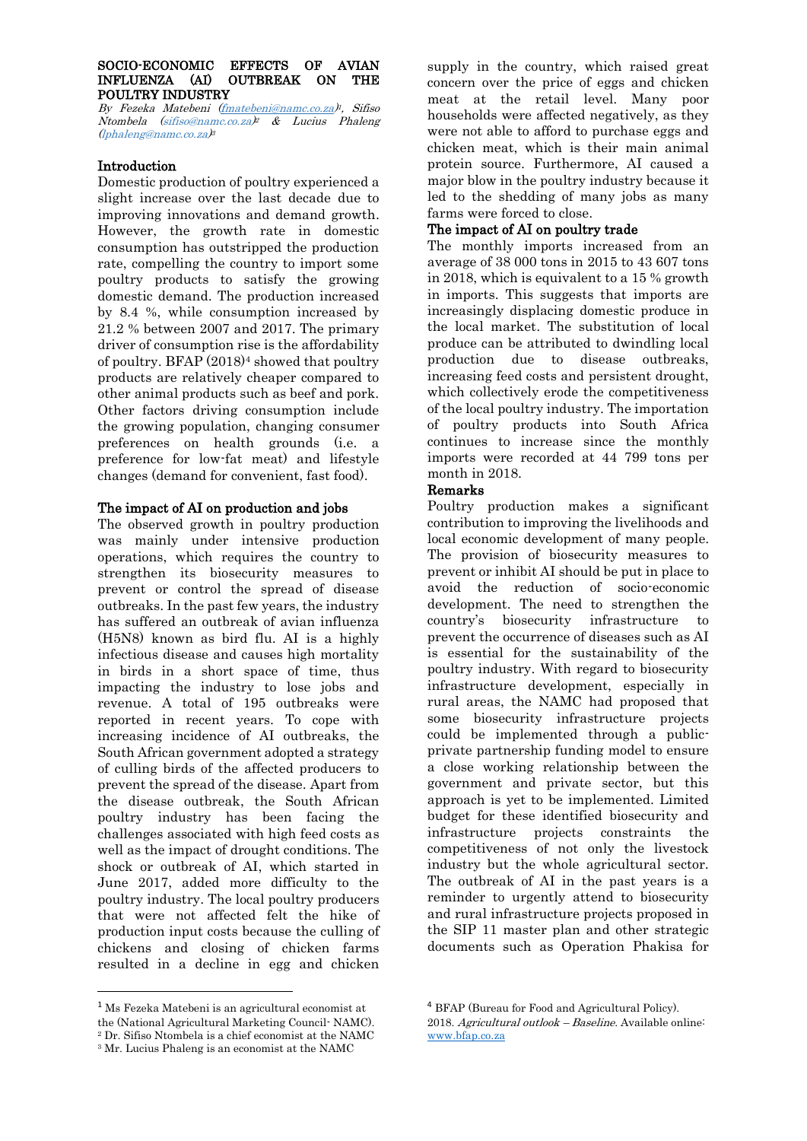### SOCIO-ECONOMIC EFFECTS OF AVIAN INFLUENZA (AI) OUTBREAK ON THE POULTRY INDUSTRY

By Fezeka Matebeni [\(fmatebeni@namc.co.za\)](mailto:fmatebeni@namc.co.za)<sup>1</sup>, Sifiso Ntombela (sifiso@namc.co.za) <sup>2</sup> & Lucius Phaleng (lphaleng@namc.co.za) 3

## Introduction

Domestic production of poultry experienced a slight increase over the last decade due to improving innovations and demand growth. However, the growth rate in domestic consumption has outstripped the production rate, compelling the country to import some poultry products to satisfy the growing domestic demand. The production increased by 8.4 %, while consumption increased by 21.2 % between 2007 and 2017. The primary driver of consumption rise is the affordability of poultry. BFAP (2018)<sup>4</sup> showed that poultry products are relatively cheaper compared to other animal products such as beef and pork. Other factors driving consumption include the growing population, changing consumer preferences on health grounds (i.e. a preference for low-fat meat) and lifestyle changes (demand for convenient, fast food).

## The impact of AI on production and jobs

The observed growth in poultry production was mainly under intensive production operations, which requires the country to strengthen its biosecurity measures to prevent or control the spread of disease outbreaks. In the past few years, the industry has suffered an outbreak of avian influenza (H5N8) known as bird flu. AI is a highly infectious disease and causes high mortality in birds in a short space of time, thus impacting the industry to lose jobs and revenue. A total of 195 outbreaks were reported in recent years. To cope with increasing incidence of AI outbreaks, the South African government adopted a strategy of culling birds of the affected producers to prevent the spread of the disease. Apart from the disease outbreak, the South African poultry industry has been facing the challenges associated with high feed costs as well as the impact of drought conditions. The shock or outbreak of AI, which started in June 2017, added more difficulty to the poultry industry. The local poultry producers that were not affected felt the hike of production input costs because the culling of chickens and closing of chicken farms resulted in a decline in egg and chicken

**.** 

supply in the country, which raised great concern over the price of eggs and chicken meat at the retail level. Many poor households were affected negatively, as they were not able to afford to purchase eggs and chicken meat, which is their main animal protein source. Furthermore, AI caused a major blow in the poultry industry because it led to the shedding of many jobs as many farms were forced to close.

# The impact of AI on poultry trade

The monthly imports increased from an average of 38 000 tons in 2015 to 43 607 tons in 2018, which is equivalent to a 15 % growth in imports. This suggests that imports are increasingly displacing domestic produce in the local market. The substitution of local produce can be attributed to dwindling local production due to disease outbreaks, increasing feed costs and persistent drought, which collectively erode the competitiveness of the local poultry industry. The importation of poultry products into South Africa continues to increase since the monthly imports were recorded at 44 799 tons per month in 2018.

## Remarks

Poultry production makes a significant contribution to improving the livelihoods and local economic development of many people. The provision of biosecurity measures to prevent or inhibit AI should be put in place to avoid the reduction of socio-economic development. The need to strengthen the country's biosecurity infrastructure to prevent the occurrence of diseases such as AI is essential for the sustainability of the poultry industry. With regard to biosecurity infrastructure development, especially in rural areas, the NAMC had proposed that some biosecurity infrastructure projects could be implemented through a publicprivate partnership funding model to ensure a close working relationship between the government and private sector, but this approach is yet to be implemented. Limited budget for these identified biosecurity and infrastructure projects constraints the competitiveness of not only the livestock industry but the whole agricultural sector. The outbreak of AI in the past years is a reminder to urgently attend to biosecurity and rural infrastructure projects proposed in the SIP 11 master plan and other strategic documents such as Operation Phakisa for

 $^{1}$ Ms Fezeka Matebeni is an agricultural economist at the (National Agricultural Marketing Council- NAMC). <sup>2</sup> Dr. Sifiso Ntombela is a chief economist at the NAMC <sup>3</sup> Mr. Lucius Phaleng is an economist at the NAMC

<sup>4</sup> BFAP (Bureau for Food and Agricultural Policy).

<sup>2018.</sup> Agricultural outlook – Baseline. Available online: [www.bfap.co.za](http://www.bfap.co.za/)